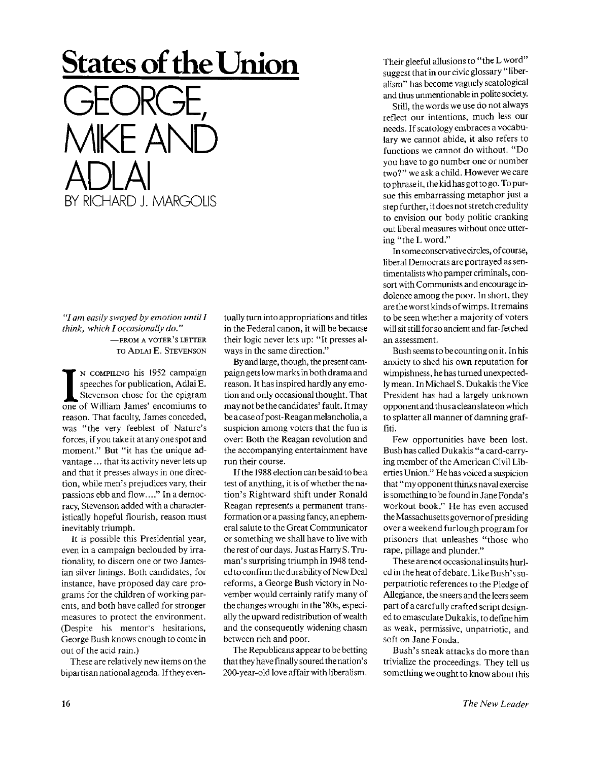## **States of the Union**  GEORGE, MIKE AND ADLAI BY RICHARD J. MARGOUS

*"I am easily swayed by emotion until I think, which I occasionally do."* 

—FROM A VOTER'S LETTER TO ADLAI E. STEVENSON

**I** N COMPILING his 1952 campaign speeches for publication, Adlai E.<br>Stevenson chose for the epigram one of William James' encomiums to N COMPILING his 1952 campaign speeches for publication, Adlai E. Stevenson chose for the epigram reason. That faculty, James conceded, was "the very feeblest of Nature's forces, if you take it at any one spot and moment." But "it has the unique advantage ... that its activity never lets up and that it presses always in one direction, while men's prejudices vary, their passions ebb and flow...." In a democracy, Stevenson added with a characteristically hopeful flourish, reason must inevitably triumph.

It is possible this Presidential year, even in a campaign beclouded by irrationality, to discern one or two Jamesian silver linings. Both candidates, for instance, have proposed day care programs for the children of working parents, and both have called for stronger measures to protect the environment. (Despite his mentor's hesitations, George Bush knows enough to come in out of the acid rain.)

These are relatively new items on the bipartisan national agenda. If they even-

tually turn into appropriations and titles in the Federal canon, it will be because their logic never lets up: "It presses always in the same direction."

By and large, though, the present campaign gets low marks in both drama and reason. It has inspired hardly any emotion and only occasional thought. That may not be the candidates' fault. Itmay be a case of post-Reaganmelancholia, a suspicion among voters that the fun is over: Both the Reagan revolution and the accompanying entertainment have run their course.

If the 1988 election can be said to be a test of anything, it is of whether the nation's Rightward shift under Ronald Reagan represents a permanent transformation or a passing fancy, an ephemeral salute to the Great Communicator or something we shall have to live with the rest of our days. Just as HarryS. Truman's surprising triumph in 1948 tended to confirm the durability of New Deal reforms, a George Bush victory in November would certainly ratify many of the changes wrought in the '80s, especially the upward redistribution of wealth and the consequently widening chasm between rich and poor.

The Republicans appear to be betting that they have finally soured the nation's 200-year-old love affair with liberalism.

Their gleeful allusions to "the L word" suggest that in our civic glossary "liberalism" has become vaguely scatological and thus unmentionable in polite society.

Still, the words we use do not always reflect our intentions, much less our needs. If scatology embraces a vocabulary we cannot abide, it also refers to functions we cannot do without. "Do you have to go number one or number two? " we ask a child. However we care to phrase it, the kid has got to go. To pursue this embarrassing metaphor just a step further, it does not stretch credulity to envision our body politic cranking out liberal measures without once uttering "the L word."

In some conservative circles, of course, liberal Democrats are portrayed as sentimentalists who pamper criminals, consort with Communists and encourage indolence among the poor. In short, they are the worst kinds of wimps. It remains to be seen whether a majority of voters will sit still for so ancient and far-fetched an assessment.

Bush seems to be counting on it. In his anxiety to shed his own reputation for wimpishness, he has turned unexpectedly mean. In Michael S. Dukakis the Vice President has had a largely unknown opponent and thus a clean slate on which to splatter all manner of damning graffiti.

Few opportunities have been lost. Bush has called Dukakis "a card-carrying member of the American Civil Liberties Union." He has voiced a suspicion that "my opponent thinks naval exercise is something to be found in Jane Fonda's workout book." He has even accused the Massachusetts governor of presiding over a weekend furlough program for prisoners that unleashes "those who rape, pillage and plunder."

These are not occasional insults hurled in the heat of debate. Like Bush's superpatriotic references to the Pledge of Allegiance, the sneers and the leers seem part of a carefully crafted script designed to emasculate Dukakis, to define him as weak, permissive, unpatriotic, and soft on Jane Fonda.

Bush's sneak attacks do more than trivialize the proceedings. They tell us something we ought to know about this